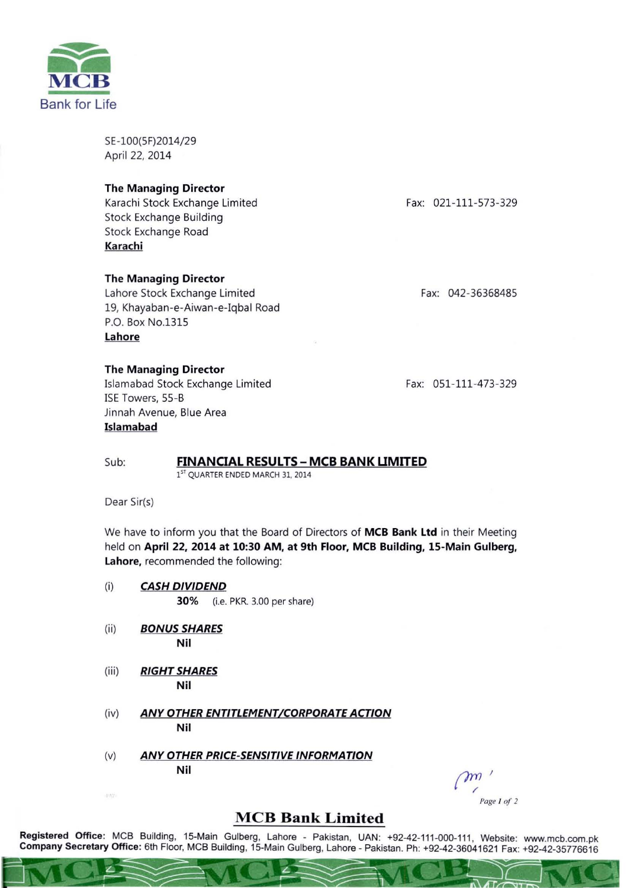

SE-100(5F)2014/29 April 22, 2014

## **The Managing Director**

Karachi Stock Exchange Limited Stock Exchange Building Stock Exchange Road **Karachi** 

### **The Managing Director**

Lahore Stock Exchange Limited 19, Khayaban-e-Aiwan-e-Iqbal Road P.O. Box No.1315 **Lahore** 

### **The Managing Director**

Islamabad Stock Exchange Limited ISE Towers, 55-B Jinnah Avenue, Blue Area **Islamabad** 

Fax: 021-111-573-329

Fax: 042-36368485

Fax: 051-111-473-329

# Sub: **FINANCIAL RESULTS - MCB BANK LIMITED**

**1sT QUARTER ENDED MARCH 31. 2014** 

Dear Sir(s)

We have to inform you that the Board of Directors of **MCB Bank Ltd** in their Meeting held on **April 22, 2014 at 10:30 AM, at 9th Floor, MCB Building, IS-Main Gulberg, Lahore,** recommended the following:

- (i) **CASH DIVIDEND 30%** (i.e. PKR. 3.00 per share)
- (ii) **BONUS SHARES Nil**
- (iii) **RIGHT SHARES Nil**
- (iv) **ANY OTHER ENTITLEMENT/CORPORATE ACTION Nil**
- (v) **ANY OTHER PRICE-SENSITIVE INFORMATION**  $\mathbf{N}$ il  $\left( \mathbf{m}^{\prime}\right)$

/ *Page I oj 2* 

# **MeB Bank Limited**

Registered Office: MCB Building, 15-Main Gulberg, Lahore - Pakistan, UAN: +92-42-111-000-111, Website: www.mcb.com.pk **Company Secretary Office:** 6th Floor. MCB Building, 15-Main Gulberg. Lahore - Pakistan. Ph: +92-42-36041621 Fax: +92-42-35776616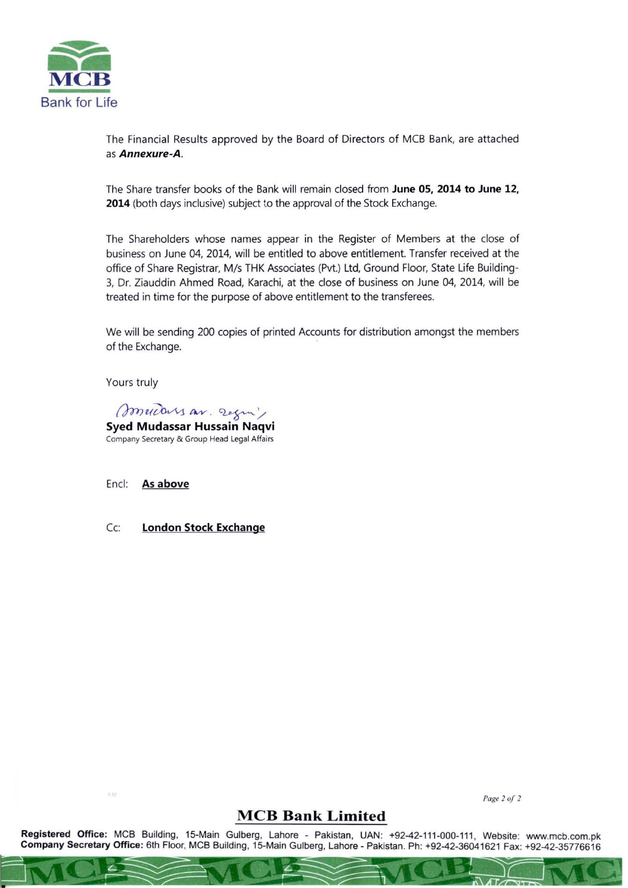

The Financial Results approved by the Board of Directors of MCB Bank, are attached as *Annexure-A.* 

The Share transfer books of the Bank will remain closed from June 05, 2014 to June 12, 2014 (both days inclusive) subject to the approval of the Stock Exchange.

The Shareholders whose names appear in the Register of Members at the close of business on June 04, 2014, will be entitled to above entitlement. Transfer received at the office of Share Registrar, M/s THK Associates (Pvt.) Ltd, Ground Floor, State Life Building-3, Dr. Ziauddin Ahmed Road, Karachi, at the close of business on June 04, 2014, will be treated in time for the purpose of above entitlement to the transferees.

We will be sending 200 copies of printed Accounts for distribution amongst the members of the Exchange.

Yours truly

(Mudars av. 20gm)

Syed Mudassar Hussain Naqvi Company Secretary & Group Head Legal Affairs

Encl: As above

10.63

Cc: London Stock Exchange

*Page20J 2* 

# **MCB Bank Limited**

Registered Office: MCB Building, 15-Main Gulberg, Lahore - Pakistan, UAN: +92-42-111-000-111, Website: www.mcb.com.pk Company Secretary Office: 6th Floor, MCB Building, 15-Main Gulberg, Lahore - Pakistan. Ph: +92-42-36041621 Fax: +92-42-35776616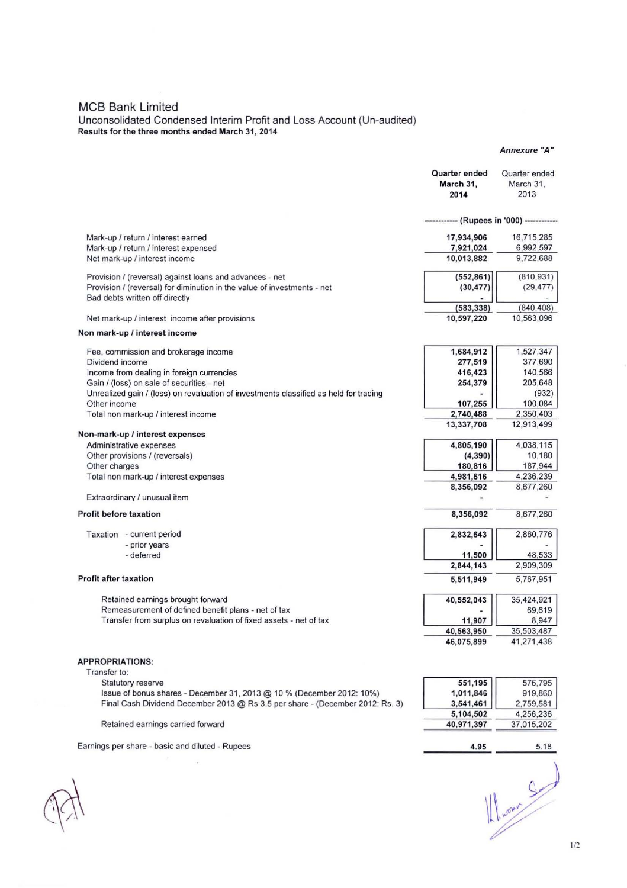# MCB Bank Limited

#### Unconsolidated Condensed Interim Profit and Loss Account (Un-audited) Results for the three months ended March 31 , 2014

### Annexure "A"

|                                                                                                                                    | Quarter ended<br>March 31,<br>2014      | Quarter ended<br>March 31,<br>2013 |
|------------------------------------------------------------------------------------------------------------------------------------|-----------------------------------------|------------------------------------|
|                                                                                                                                    | -------- (Rupees in '000) ------------- |                                    |
| Mark-up / return / interest earned                                                                                                 | 17,934,906                              | 16,715,285                         |
| Mark-up / return / interest expensed                                                                                               | 7,921,024                               | 6,992,597                          |
| Net mark-up / interest income                                                                                                      | 10,013,882                              | 9,722,688                          |
| Provision / (reversal) against loans and advances - net                                                                            | (552, 861)                              | (810, 931)                         |
| Provision / (reversal) for diminution in the value of investments - net                                                            | (30, 477)                               | (29, 477)                          |
| Bad debts written off directly                                                                                                     |                                         |                                    |
| Net mark-up / interest income after provisions                                                                                     | (583, 338)<br>10,597,220                | (840, 408)<br>10,563,096           |
| Non mark-up / interest income                                                                                                      |                                         |                                    |
|                                                                                                                                    |                                         |                                    |
| Fee, commission and brokerage income                                                                                               | 1,684,912                               | 1,527,347                          |
| Dividend income                                                                                                                    | 277,519                                 | 377,690                            |
| Income from dealing in foreign currencies                                                                                          | 416,423                                 | 140,566                            |
| Gain / (loss) on sale of securities - net<br>Unrealized gain / (loss) on revaluation of investments classified as held for trading | 254,379                                 | 205,648<br>(932)                   |
| Other income                                                                                                                       | 107,255                                 | 100,084                            |
| Total non mark-up / interest income                                                                                                | 2,740,488                               | 2,350,403                          |
|                                                                                                                                    | 13,337,708                              | 12,913,499                         |
| Non-mark-up / interest expenses                                                                                                    |                                         |                                    |
| Administrative expenses                                                                                                            | 4,805,190                               | 4,038,115                          |
| Other provisions / (reversals)                                                                                                     | (4, 390)                                | 10,180                             |
| Other charges                                                                                                                      | 180,816<br>4,981,616                    | 187,944<br>4,236,239               |
| Total non mark-up / interest expenses                                                                                              | 8,356,092                               | 8,677,260                          |
| Extraordinary / unusual item                                                                                                       |                                         |                                    |
| <b>Profit before taxation</b>                                                                                                      | 8,356,092                               | 8,677,260                          |
| Taxation - current period                                                                                                          | 2,832,643                               | 2,860,776                          |
| - prior years                                                                                                                      |                                         |                                    |
| - deferred                                                                                                                         | 11,500                                  | 48,533                             |
|                                                                                                                                    | 2,844,143                               | 2,909,309                          |
| <b>Profit after taxation</b>                                                                                                       | 5,511,949                               | 5,767,951                          |
|                                                                                                                                    |                                         |                                    |
| Retained earnings brought forward                                                                                                  | 40,552,043                              | 35,424,921                         |
| Remeasurement of defined benefit plans - net of tax                                                                                |                                         | 69,619                             |
| Transfer from surplus on revaluation of fixed assets - net of tax                                                                  | 11,907                                  | 8,947                              |
|                                                                                                                                    | 40,563,950<br>46,075,899                | 35,503,487<br>41,271,438           |
|                                                                                                                                    |                                         |                                    |
| <b>APPROPRIATIONS:</b>                                                                                                             |                                         |                                    |
| Transfer to:                                                                                                                       |                                         |                                    |
| <b>Statutory reserve</b>                                                                                                           | 551,195                                 | 576,795                            |
| Issue of bonus shares - December 31, 2013 @ 10 % (December 2012: 10%)                                                              | 1,011,846                               | 919,860                            |
| Final Cash Dividend December 2013 @ Rs 3.5 per share - (December 2012: Rs. 3)                                                      | 3,541,461<br>5,104,502                  | 2,759,581<br>4,256,236             |
| Retained earnings carried forward                                                                                                  | 40,971,397                              | 37,015,202                         |
|                                                                                                                                    |                                         |                                    |
| Earnings per share - basic and diluted - Rupees                                                                                    | 4.95                                    | 5.18                               |
|                                                                                                                                    |                                         |                                    |
|                                                                                                                                    |                                         | Luxer 9                            |
|                                                                                                                                    |                                         |                                    |
|                                                                                                                                    |                                         |                                    |
|                                                                                                                                    |                                         |                                    |
|                                                                                                                                    |                                         |                                    |